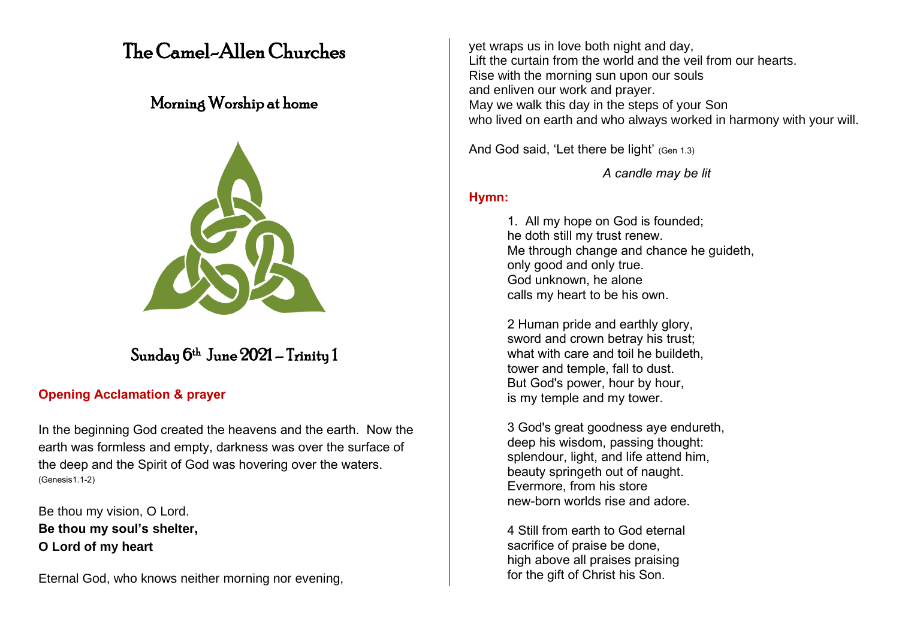# The Camel-Allen Churches

## Morning Worship at home



## Sunday 6 th June 2021 – Trinity 1

## **Opening Acclamation & prayer**

In the beginning God created the heavens and the earth. Now the earth was formless and empty, darkness was over the surface of the deep and the Spirit of God was hovering over the waters. (Genesis1.1-2)

Be thou my vision, O Lord. **Be thou my soul's shelter, O Lord of my heart**

Eternal God, who knows neither morning nor evening,

yet wraps us in love both night and day, Lift the curtain from the world and the veil from our hearts. Rise with the morning sun upon our souls and enliven our work and prayer. May we walk this day in the steps of your Son who lived on earth and who always worked in harmony with your will.

And God said, 'Let there be light' (Gen 1.3)

*A candle may be lit*

### **Hymn:**

1. All my hope on God is founded; he doth still my trust renew. Me through change and chance he guideth, only good and only true. God unknown, he alone calls my heart to be his own.

2 Human pride and earthly glory, sword and crown betray his trust; what with care and toil he buildeth, tower and temple, fall to dust. But God's power, hour by hour, is my temple and my tower.

3 God's great goodness aye endureth, deep his wisdom, passing thought: splendour, light, and life attend him, beauty springeth out of naught. Evermore, from his store new-born worlds rise and adore.

4 Still from earth to God eternal sacrifice of praise be done, high above all praises praising for the gift of Christ his Son.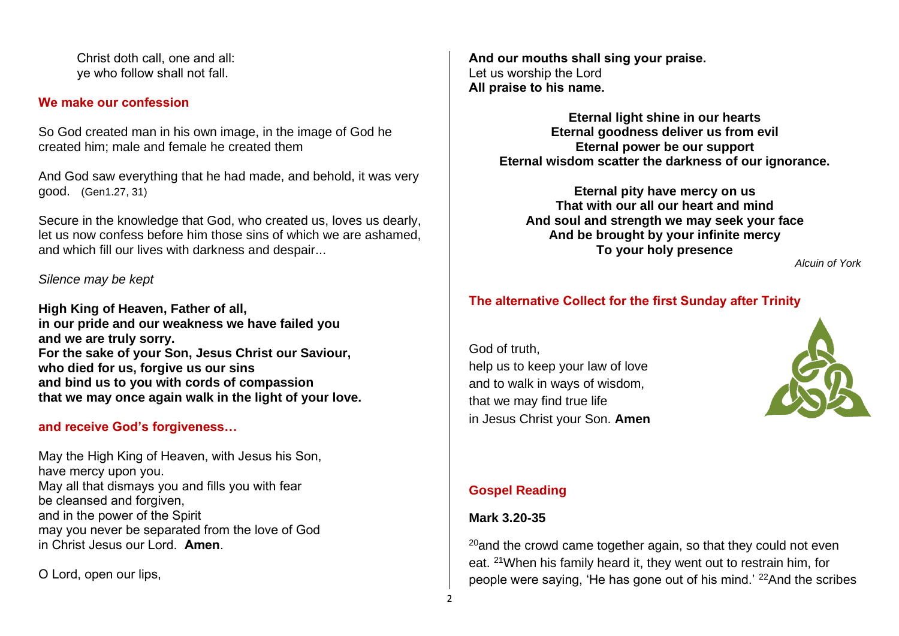Christ doth call, one and all: ye who follow shall not fall.

#### **We make our confession**

So God created man in his own image, in the image of God he created him; male and female he created them

And God saw everything that he had made, and behold, it was very good. (Gen1.27, 31)

Secure in the knowledge that God, who created us, loves us dearly, let us now confess before him those sins of which we are ashamed, and which fill our lives with darkness and despair...

#### *Silence may be kept*

**High King of Heaven, Father of all, in our pride and our weakness we have failed you and we are truly sorry. For the sake of your Son, Jesus Christ our Saviour, who died for us, forgive us our sins and bind us to you with cords of compassion that we may once again walk in the light of your love.**

#### **and receive God's forgiveness…**

May the High King of Heaven, with Jesus his Son, have mercy upon you. May all that dismays you and fills you with fear be cleansed and forgiven. and in the power of the Spirit may you never be separated from the love of God in Christ Jesus our Lord. **Amen**.

O Lord, open our lips,

**And our mouths shall sing your praise.** Let us worship the Lord **All praise to his name.**

> **Eternal light shine in our hearts Eternal goodness deliver us from evil Eternal power be our support Eternal wisdom scatter the darkness of our ignorance.**

**Eternal pity have mercy on us That with our all our heart and mind And soul and strength we may seek your face And be brought by your infinite mercy To your holy presence**

*Alcuin of York*

## **The alternative Collect for the first Sunday after Trinity**

God of truth, help us to keep your law of love and to walk in ways of wisdom, that we may find true life in Jesus Christ your Son. **Amen**



## **Gospel Reading**

#### **Mark 3.20-35**

 $20$ and the crowd came together again, so that they could not even eat. <sup>21</sup>When his family heard it, they went out to restrain him, for people were saying, 'He has gone out of his mind.' 22And the scribes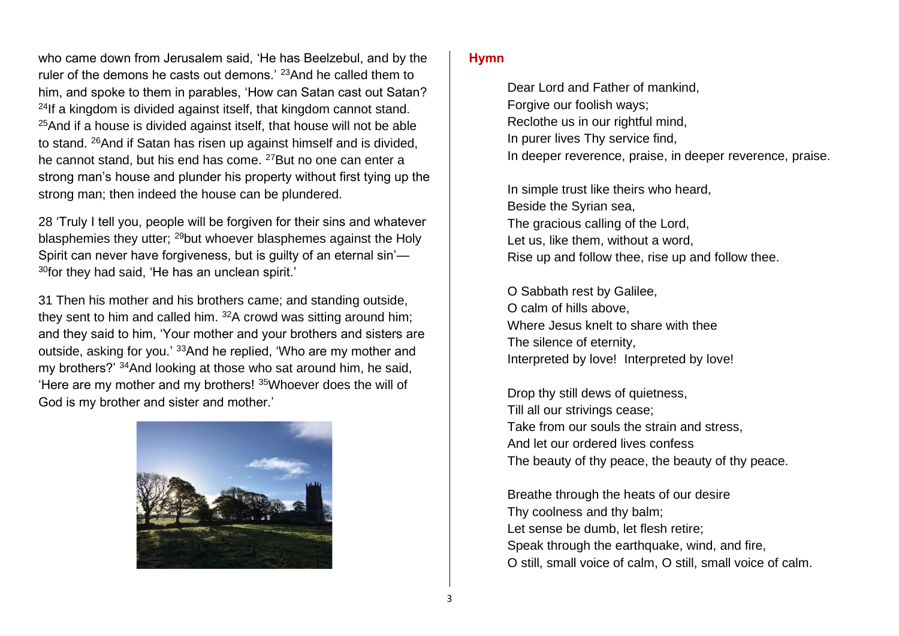who came down from Jerusalem said, 'He has Beelzebul, and by the ruler of the demons he casts out demons.<sup>'</sup> <sup>23</sup>And he called them to him, and spoke to them in parables, 'How can Satan cast out Satan?  $24$ If a kingdom is divided against itself, that kingdom cannot stand.  $25$ And if a house is divided against itself, that house will not be able to stand. <sup>26</sup>And if Satan has risen up against himself and is divided, he cannot stand, but his end has come. <sup>27</sup>But no one can enter a strong man's house and plunder his property without first tying up the strong man; then indeed the house can be plundered.

28 'Truly I tell you, people will be forgiven for their sins and whatever blasphemies they utter; <sup>29</sup>but whoever blasphemes against the Holy Spirit can never have forgiveness, but is guilty of an eternal sin'—  $30$ for they had said, 'He has an unclean spirit.'

31 Then his mother and his brothers came; and standing outside, they sent to him and called him. <sup>32</sup>A crowd was sitting around him; and they said to him, 'Your mother and your brothers and sisters are outside, asking for you.' <sup>33</sup>And he replied, 'Who are my mother and my brothers?' <sup>34</sup>And looking at those who sat around him, he said, 'Here are my mother and my brothers! <sup>35</sup>Whoever does the will of God is my brother and sister and mother.'



#### **Hymn**

Dear Lord and Father of mankind, Forgive our foolish ways; Reclothe us in our rightful mind, In purer lives Thy service find, In deeper reverence, praise, in deeper reverence, praise.

In simple trust like theirs who heard, Beside the Syrian sea, The gracious calling of the Lord, Let us, like them, without a word, Rise up and follow thee, rise up and follow thee.

O Sabbath rest by Galilee, O calm of hills above, Where Jesus knelt to share with thee The silence of eternity, Interpreted by love! Interpreted by love!

Drop thy still dews of quietness, Till all our strivings cease; Take from our souls the strain and stress, And let our ordered lives confess The beauty of thy peace, the beauty of thy peace.

Breathe through the heats of our desire Thy coolness and thy balm; Let sense be dumb, let flesh retire; Speak through the earthquake, wind, and fire, O still, small voice of calm, O still, small voice of calm.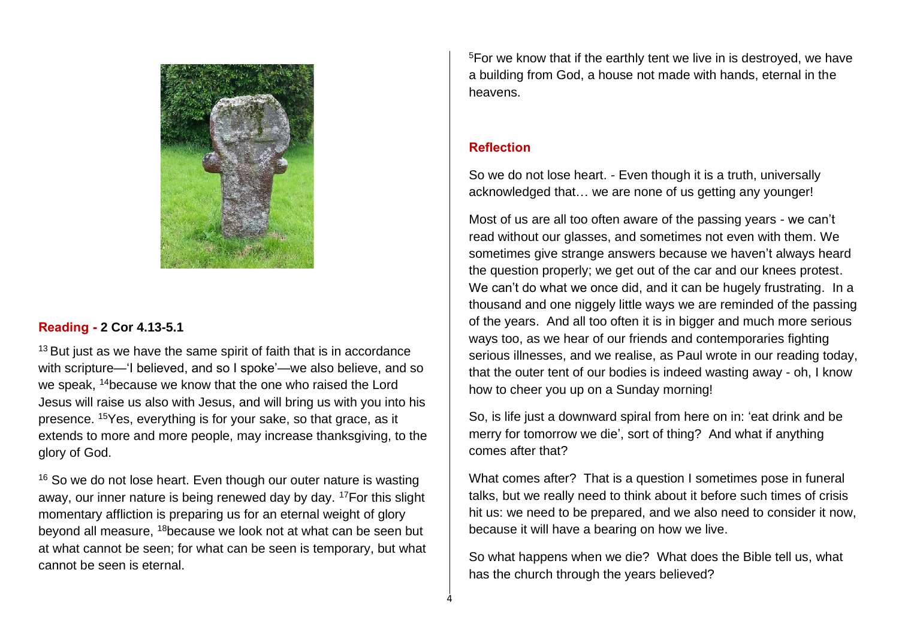

#### **Reading - 2 Cor 4.13-5.1**

 $13$  But just as we have the same spirit of faith that is in accordance with scripture—'I believed, and so I spoke'—we also believe, and so we speak, <sup>14</sup>because we know that the one who raised the Lord Jesus will raise us also with Jesus, and will bring us with you into his presence. <sup>15</sup>Yes, everything is for your sake, so that grace, as it extends to more and more people, may increase thanksgiving, to the glory of God.

 $16$  So we do not lose heart. Even though our outer nature is wasting away, our inner nature is being renewed day by day. <sup>17</sup>For this slight momentary affliction is preparing us for an eternal weight of glory beyond all measure, <sup>18</sup>because we look not at what can be seen but at what cannot be seen; for what can be seen is temporary, but what cannot be seen is eternal.

<sup>5</sup>For we know that if the earthly tent we live in is destroyed, we have a building from God, a house not made with hands, eternal in the heavens.

#### **Reflection**

4

So we do not lose heart. - Even though it is a truth, universally acknowledged that… we are none of us getting any younger!

Most of us are all too often aware of the passing years - we can't read without our glasses, and sometimes not even with them. We sometimes give strange answers because we haven't always heard the question properly; we get out of the car and our knees protest. We can't do what we once did, and it can be hugely frustrating. In a thousand and one niggely little ways we are reminded of the passing of the years. And all too often it is in bigger and much more serious ways too, as we hear of our friends and contemporaries fighting serious illnesses, and we realise, as Paul wrote in our reading today, that the outer tent of our bodies is indeed wasting away - oh, I know how to cheer you up on a Sunday morning!

So, is life just a downward spiral from here on in: 'eat drink and be merry for tomorrow we die', sort of thing? And what if anything comes after that?

What comes after? That is a question I sometimes pose in funeral talks, but we really need to think about it before such times of crisis hit us: we need to be prepared, and we also need to consider it now, because it will have a bearing on how we live.

So what happens when we die? What does the Bible tell us, what has the church through the years believed?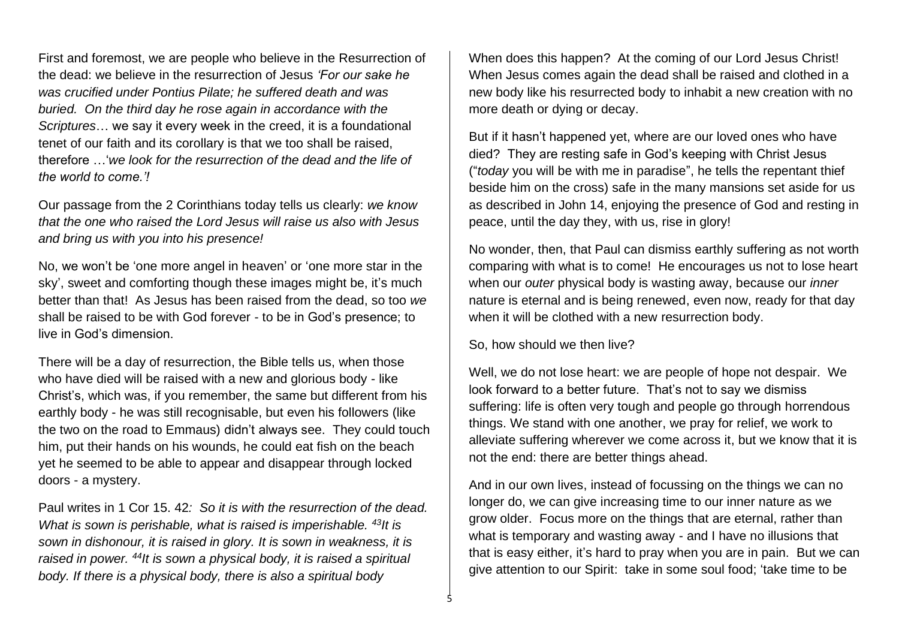First and foremost, we are people who believe in the Resurrection of the dead: we believe in the resurrection of Jesus *'For our sake he was crucified under Pontius Pilate; he suffered death and was buried. On the third day he rose again in accordance with the Scriptures*… we say it every week in the creed, it is a foundational tenet of our faith and its corollary is that we too shall be raised, therefore …'*we look for the resurrection of the dead and the life of the world to come.'!*

Our passage from the 2 Corinthians today tells us clearly: *we know that the one who raised the Lord Jesus will raise us also with Jesus and bring us with you into his presence!* 

No, we won't be 'one more angel in heaven' or 'one more star in the sky', sweet and comforting though these images might be, it's much better than that! As Jesus has been raised from the dead, so too *we*  shall be raised to be with God forever - to be in God's presence; to live in God's dimension.

There will be a day of resurrection, the Bible tells us, when those who have died will be raised with a new and glorious body - like Christ's, which was, if you remember, the same but different from his earthly body - he was still recognisable, but even his followers (like the two on the road to Emmaus) didn't always see. They could touch him, put their hands on his wounds, he could eat fish on the beach yet he seemed to be able to appear and disappear through locked doors - a mystery.

Paul writes in 1 Cor 15. 42*: So it is with the resurrection of the dead. What is sown is perishable, what is raised is imperishable. <sup>43</sup>It is sown in dishonour, it is raised in glory. It is sown in weakness, it is raised in power. <sup>44</sup>It is sown a physical body, it is raised a spiritual body. If there is a physical body, there is also a spiritual body*

When does this happen? At the coming of our Lord Jesus Christ! When Jesus comes again the dead shall be raised and clothed in a new body like his resurrected body to inhabit a new creation with no more death or dying or decay.

But if it hasn't happened yet, where are our loved ones who have died? They are resting safe in God's keeping with Christ Jesus ("*today* you will be with me in paradise", he tells the repentant thief beside him on the cross) safe in the many mansions set aside for us as described in John 14, enjoying the presence of God and resting in peace, until the day they, with us, rise in glory!

No wonder, then, that Paul can dismiss earthly suffering as not worth comparing with what is to come! He encourages us not to lose heart when our *outer* physical body is wasting away, because our *inner*  nature is eternal and is being renewed, even now, ready for that day when it will be clothed with a new resurrection body.

So, how should we then live?

5

Well, we do not lose heart: we are people of hope not despair. We look forward to a better future. That's not to say we dismiss suffering: life is often very tough and people go through horrendous things. We stand with one another, we pray for relief, we work to alleviate suffering wherever we come across it, but we know that it is not the end: there are better things ahead.

And in our own lives, instead of focussing on the things we can no longer do, we can give increasing time to our inner nature as we grow older. Focus more on the things that are eternal, rather than what is temporary and wasting away - and I have no illusions that that is easy either, it's hard to pray when you are in pain. But we can give attention to our Spirit: take in some soul food; 'take time to be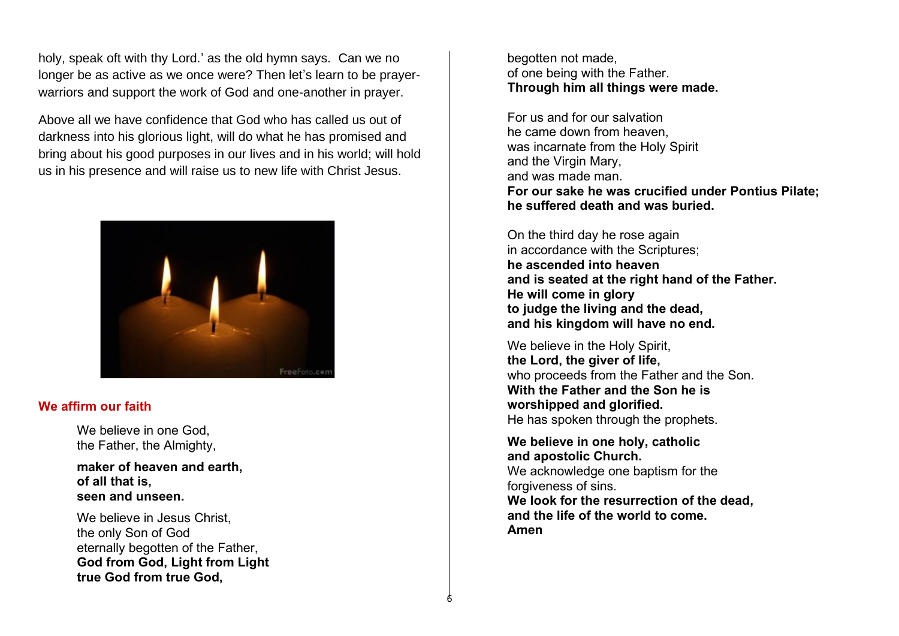holy, speak oft with thy Lord.' as the old hymn says. Can we no longer be as active as we once were? Then let's learn to be prayerwarriors and support the work of God and one-another in prayer.

Above all we have confidence that God who has called us out of darkness into his glorious light, will do what he has promised and bring about his good purposes in our lives and in his world; will hold us in his presence and will raise us to new life with Christ Jesus.



#### **We affirm our faith**

We believe in one God. the Father, the Almighty,

**maker of heaven and earth, of all that is, seen and unseen.**

We believe in Jesus Christ, the only Son of God eternally begotten of the Father, **God from God, Light from Light true God from true God,**

begotten not made, of one being with the Father. **Through him all things were made.**

For us and for our salvation he came down from heaven, was incarnate from the Holy Spirit and the Virgin Mary, and was made man. **For our sake he was crucified under Pontius Pilate; he suffered death and was buried.**

On the third day he rose again in accordance with the Scriptures; **he ascended into heaven and is seated at the right hand of the Father. He will come in glory to judge the living and the dead, and his kingdom will have no end.**

We believe in the Holy Spirit. **the Lord, the giver of life,** who proceeds from the Father and the Son. **With the Father and the Son he is worshipped and glorified.** He has spoken through the prophets.

**We believe in one holy, catholic and apostolic Church.** We acknowledge one baptism for the forgiveness of sins. **We look for the resurrection of the dead, and the life of the world to come. Amen**

6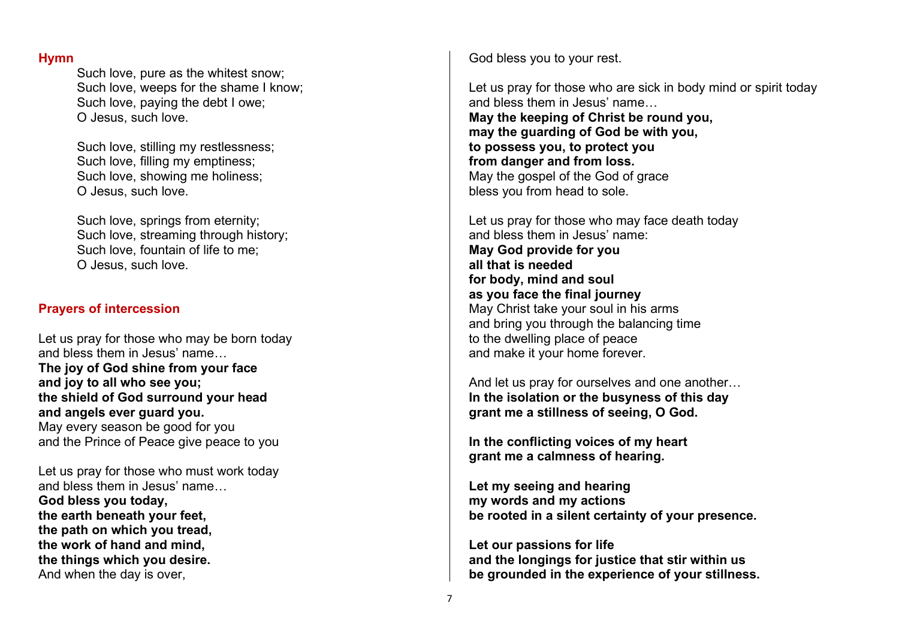#### **Hymn**

Such love, pure as the whitest snow; Such love, weeps for the shame I know; Such love, paying the debt I owe; O Jesus, such love.

Such love, stilling my restlessness; Such love, filling my emptiness; Such love, showing me holiness; O Jesus, such love.

Such love, springs from eternity; Such love, streaming through history; Such love, fountain of life to me; O Jesus, such love.

### **Prayers of intercession**

Let us pray for those who may be born today and bless them in Jesus' name… **The joy of God shine from your face and joy to all who see you; the shield of God surround your head and angels ever guard you.** May every season be good for you and the Prince of Peace give peace to you

Let us pray for those who must work today and bless them in Jesus' name… **God bless you today, the earth beneath your feet, the path on which you tread, the work of hand and mind, the things which you desire.** And when the day is over,

God bless you to your rest.

Let us pray for those who are sick in body mind or spirit today and bless them in Jesus' name… **May the keeping of Christ be round you, may the guarding of God be with you, to possess you, to protect you from danger and from loss.** May the gospel of the God of grace bless you from head to sole.

Let us pray for those who may face death today and bless them in Jesus' name: **May God provide for you all that is needed for body, mind and soul as you face the final journey** May Christ take your soul in his arms and bring you through the balancing time to the dwelling place of peace and make it your home forever.

And let us pray for ourselves and one another… **In the isolation or the busyness of this day grant me a stillness of seeing, O God.**

**In the conflicting voices of my heart grant me a calmness of hearing.**

**Let my seeing and hearing my words and my actions be rooted in a silent certainty of your presence.**

**Let our passions for life and the longings for justice that stir within us be grounded in the experience of your stillness.**